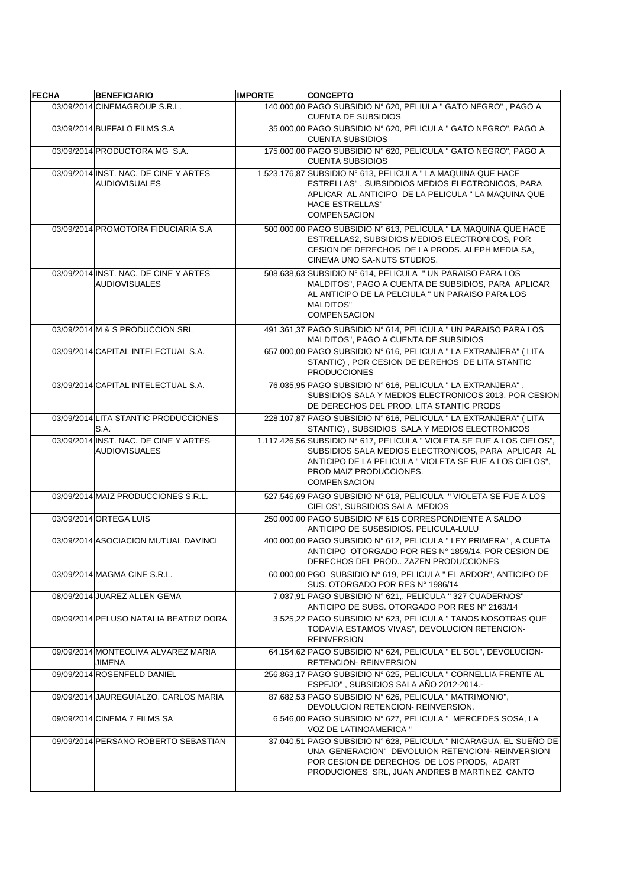| <b>FECHA</b> | <b>BENEFICIARIO</b>                                           | <b>IMPORTE</b> | <b>CONCEPTO</b>                                                                                                                                                                                                                           |
|--------------|---------------------------------------------------------------|----------------|-------------------------------------------------------------------------------------------------------------------------------------------------------------------------------------------------------------------------------------------|
|              | 03/09/2014 CINEMAGROUP S.R.L.                                 |                | 140.000,00 PAGO SUBSIDIO Nº 620, PELIULA " GATO NEGRO", PAGO A<br><b>CUENTA DE SUBSIDIOS</b>                                                                                                                                              |
|              | 03/09/2014 BUFFALO FILMS S.A                                  |                | 35.000,00 PAGO SUBSIDIO Nº 620, PELICULA " GATO NEGRO", PAGO A<br><b>CUENTA SUBSIDIOS</b>                                                                                                                                                 |
|              | 03/09/2014 PRODUCTORA MG S.A.                                 |                | 175.000,00 PAGO SUBSIDIO Nº 620, PELICULA " GATO NEGRO", PAGO A<br><b>CUENTA SUBSIDIOS</b>                                                                                                                                                |
|              | 03/09/2014 INST. NAC. DE CINE Y ARTES<br><b>AUDIOVISUALES</b> |                | 1.523.176,87 SUBSIDIO Nº 613, PELICULA " LA MAQUINA QUE HACE<br>ESTRELLAS", SUBSIDDIOS MEDIOS ELECTRONICOS, PARA<br>APLICAR AL ANTICIPO DE LA PELICULA " LA MAQUINA QUE<br><b>HACE ESTRELLAS"</b><br><b>COMPENSACION</b>                  |
|              | 03/09/2014 PROMOTORA FIDUCIARIA S.A                           |                | 500.000,00 PAGO SUBSIDIO N° 613, PELICULA " LA MAQUINA QUE HACE<br>ESTRELLAS2, SUBSIDIOS MEDIOS ELECTRONICOS, POR<br>CESION DE DERECHOS DE LA PRODS. ALEPH MEDIA SA,<br>CINEMA UNO SA-NUTS STUDIOS.                                       |
|              | 03/09/2014 INST. NAC. DE CINE Y ARTES<br><b>AUDIOVISUALES</b> |                | 508.638,63 SUBSIDIO Nº 614, PELICULA " UN PARAISO PARA LOS<br>MALDITOS", PAGO A CUENTA DE SUBSIDIOS, PARA APLICAR<br>AL ANTICIPO DE LA PELCIULA " UN PARAISO PARA LOS<br><b>MALDITOS"</b><br><b>COMPENSACION</b>                          |
|              | 03/09/2014 M & S PRODUCCION SRL                               |                | 491.361,37 PAGO SUBSIDIO Nº 614, PELICULA " UN PARAISO PARA LOS<br>MALDITOS", PAGO A CUENTA DE SUBSIDIOS                                                                                                                                  |
|              | 03/09/2014 CAPITAL INTELECTUAL S.A.                           |                | 657.000,00 PAGO SUBSIDIO N° 616, PELICULA " LA EXTRANJERA" (LITA<br>STANTIC), POR CESION DE DEREHOS DE LITA STANTIC<br><b>PRODUCCIONES</b>                                                                                                |
|              | 03/09/2014 CAPITAL INTELECTUAL S.A.                           |                | 76.035,95 PAGO SUBSIDIO Nº 616, PELICULA " LA EXTRANJERA",<br>SUBSIDIOS SALA Y MEDIOS ELECTRONICOS 2013, POR CESION<br>DE DERECHOS DEL PROD. LITA STANTIC PRODS                                                                           |
|              | 03/09/2014 LITA STANTIC PRODUCCIONES<br>S.A.                  |                | 228.107,87 PAGO SUBSIDIO Nº 616, PELICULA " LA EXTRANJERA" (LITA<br>STANTIC), SUBSIDIOS SALA Y MEDIOS ELECTRONICOS                                                                                                                        |
|              | 03/09/2014 INST. NAC. DE CINE Y ARTES<br><b>AUDIOVISUALES</b> |                | 1.117.426,56 SUBSIDIO N° 617, PELICULA " VIOLETA SE FUE A LOS CIELOS",<br>SUBSIDIOS SALA MEDIOS ELECTRONICOS, PARA APLICAR AL<br>ANTICIPO DE LA PELICULA "VIOLETA SE FUE A LOS CIELOS",<br>PROD MAIZ PRODUCCIONES.<br><b>COMPENSACION</b> |
|              | 03/09/2014 MAIZ PRODUCCIONES S.R.L.                           |                | 527.546,69 PAGO SUBSIDIO Nº 618, PELICULA " VIOLETA SE FUE A LOS<br>CIELOS", SUBSIDIOS SALA MEDIOS                                                                                                                                        |
|              | 03/09/2014 ORTEGA LUIS                                        |                | 250.000,00 PAGO SUBSIDIO Nº 615 CORRESPONDIENTE A SALDO<br>ANTICIPO DE SUSBSIDIOS. PELICULA-LULU                                                                                                                                          |
|              | 03/09/2014 ASOCIACION MUTUAL DAVINCI                          |                | 400.000.00 PAGO SUBSIDIO N° 612. PELICULA " LEY PRIMERA". A CUETA<br>ANTICIPO OTORGADO POR RES Nº 1859/14, POR CESION DE<br>DERECHOS DEL PROD ZAZEN PRODUCCIONES                                                                          |
|              | 03/09/2014 MAGMA CINE S.R.L.                                  |                | 60.000.00 PGO SUBSIDIO Nº 619, PELICULA " EL ARDOR", ANTICIPO DE<br>SUS. OTORGADO POR RES Nº 1986/14                                                                                                                                      |
|              | 08/09/2014 JUAREZ ALLEN GEMA                                  |                | 7.037,91 PAGO SUBSIDIO Nº 621,, PELICULA " 327 CUADERNOS"<br>ANTICIPO DE SUBS. OTORGADO POR RES Nº 2163/14                                                                                                                                |
|              | 09/09/2014 PELUSO NATALIA BEATRIZ DORA                        |                | 3.525,22 PAGO SUBSIDIO Nº 623, PELICULA " TANOS NOSOTRAS QUE<br>TODAVIA ESTAMOS VIVAS", DEVOLUCION RETENCION-<br><b>REINVERSION</b>                                                                                                       |
|              | 09/09/2014 MONTEOLIVA ALVAREZ MARIA<br>JIMENA                 |                | 64.154,62 PAGO SUBSIDIO Nº 624, PELICULA " EL SOL", DEVOLUCION-<br><b>RETENCION- REINVERSION</b>                                                                                                                                          |
|              | 09/09/2014 ROSENFELD DANIEL                                   |                | 256.863,17 PAGO SUBSIDIO Nº 625, PELICULA " CORNELLIA FRENTE AL<br>ESPEJO", SUBSIDIOS SALA AÑO 2012-2014.-                                                                                                                                |
|              | 09/09/2014 JAUREGUIALZO, CARLOS MARIA                         |                | 87.682,53 PAGO SUBSIDIO Nº 626, PELICULA " MATRIMONIO",<br>DEVOLUCION RETENCION- REINVERSION.                                                                                                                                             |
|              | 09/09/2014 CINEMA 7 FILMS SA                                  |                | 6.546,00 PAGO SUBSIDIO N° 627, PELICULA " MERCEDES SOSA, LA<br>VOZ DE LATINOAMERICA "                                                                                                                                                     |
|              | 09/09/2014 PERSANO ROBERTO SEBASTIAN                          |                | 37.040,51 PAGO SUBSIDIO Nº 628, PELICULA " NICARAGUA, EL SUEÑO DE<br>UNA GENERACION" DEVOLUION RETENCION- REINVERSION<br>POR CESION DE DERECHOS DE LOS PRODS, ADART<br>PRODUCIONES SRL, JUAN ANDRES B MARTINEZ CANTO                      |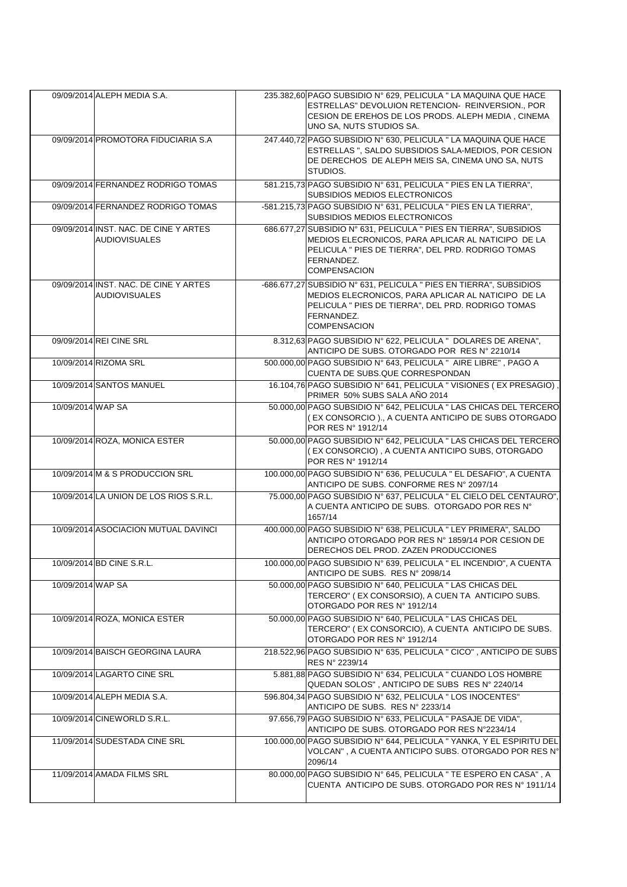|                   | 09/09/2014 ALEPH MEDIA S.A.                                   | 235.382.60 PAGO SUBSIDIO N° 629. PELICULA " LA MAQUINA QUE HACE                                                                                                                                                     |
|-------------------|---------------------------------------------------------------|---------------------------------------------------------------------------------------------------------------------------------------------------------------------------------------------------------------------|
|                   |                                                               | ESTRELLAS" DEVOLUION RETENCION- REINVERSION., POR<br>CESION DE EREHOS DE LOS PRODS. ALEPH MEDIA, CINEMA<br>UNO SA, NUTS STUDIOS SA.                                                                                 |
|                   | 09/09/2014 PROMOTORA FIDUCIARIA S.A                           | 247.440,72 PAGO SUBSIDIO Nº 630, PELICULA " LA MAQUINA QUE HACE<br>ESTRELLAS ", SALDO SUBSIDIOS SALA-MEDIOS, POR CESION<br>DE DERECHOS DE ALEPH MEIS SA, CINEMA UNO SA, NUTS<br>STUDIOS.                            |
|                   | 09/09/2014 FERNANDEZ RODRIGO TOMAS                            | 581.215,73 PAGO SUBSIDIO N° 631, PELICULA " PIES EN LA TIERRA",<br>SUBSIDIOS MEDIOS ELECTRONICOS                                                                                                                    |
|                   | 09/09/2014 FERNANDEZ RODRIGO TOMAS                            | -581.215,73 PAGO SUBSIDIO N° 631, PELICULA " PIES EN LA TIERRA",<br>SUBSIDIOS MEDIOS ELECTRONICOS                                                                                                                   |
|                   | 09/09/2014 INST. NAC. DE CINE Y ARTES<br><b>AUDIOVISUALES</b> | 686.677,27 SUBSIDIO N° 631, PELICULA " PIES EN TIERRA", SUBSIDIOS<br>MEDIOS ELECRONICOS, PARA APLICAR AL NATICIPO DE LA<br>PELICULA " PIES DE TIERRA", DEL PRD. RODRIGO TOMAS<br>FERNANDEZ.<br><b>COMPENSACION</b>  |
|                   | 09/09/2014 INST. NAC. DE CINE Y ARTES<br><b>AUDIOVISUALES</b> | -686.677,27 SUBSIDIO N° 631, PELICULA " PIES EN TIERRA", SUBSIDIOS<br>MEDIOS ELECRONICOS, PARA APLICAR AL NATICIPO DE LA<br>PELICULA " PIES DE TIERRA", DEL PRD. RODRIGO TOMAS<br>FERNANDEZ.<br><b>COMPENSACION</b> |
|                   | 09/09/2014 REI CINE SRL                                       | 8.312,63 PAGO SUBSIDIO Nº 622, PELICULA " DOLARES DE ARENA",<br>ANTICIPO DE SUBS, OTORGADO POR RES Nº 2210/14                                                                                                       |
|                   | 10/09/2014 RIZOMA SRL                                         | 500.000,00 PAGO SUBSIDIO Nº 643, PELICULA " AIRE LIBRE", PAGO A<br>CUENTA DE SUBS.QUE CORRESPONDAN                                                                                                                  |
|                   | 10/09/2014 SANTOS MANUEL                                      | 16.104,76 PAGO SUBSIDIO Nº 641, PELICULA " VISIONES (EX PRESAGIO),<br>PRIMER 50% SUBS SALA AÑO 2014                                                                                                                 |
| 10/09/2014 WAP SA |                                                               | 50.000,00 PAGO SUBSIDIO Nº 642, PELICULA " LAS CHICAS DEL TERCERO<br>(EX CONSORCIO)., A CUENTA ANTICIPO DE SUBS OTORGADO<br>POR RES N° 1912/14                                                                      |
|                   | 10/09/2014 ROZA, MONICA ESTER                                 | 50.000,00 PAGO SUBSIDIO Nº 642, PELICULA " LAS CHICAS DEL TERCERO<br>(EX CONSORCIO), A CUENTA ANTICIPO SUBS, OTORGADO<br>POR RES N° 1912/14                                                                         |
|                   | 10/09/2014 M & S PRODUCCION SRL                               | 100.000,00 PAGO SUBSIDIO Nº 636, PELUCULA " EL DESAFIO", A CUENTA<br>ANTICIPO DE SUBS. CONFORME RES Nº 2097/14                                                                                                      |
|                   | 10/09/2014 LA UNION DE LOS RIOS S.R.L.                        | 75,000,00 PAGO SUBSIDIO N° 637, PELICULA " EL CIELO DEL CENTAURO".<br>A CUENTA ANTICIPO DE SUBS. OTORGADO POR RES Nº<br>1657/14                                                                                     |
|                   | 10/09/2014 ASOCIACION MUTUAL DAVINCI                          | 400.000,00 PAGO SUBSIDIO Nº 638, PELICULA " LEY PRIMERA", SALDO<br>ANTICIPO OTORGADO POR RES Nº 1859/14 POR CESION DE<br>DERECHOS DEL PROD. ZAZEN PRODUCCIONES                                                      |
|                   | 10/09/2014 BD CINE S.R.L.                                     | 100.000,00 PAGO SUBSIDIO Nº 639, PELICULA " EL INCENDIO", A CUENTA<br>ANTICIPO DE SUBS. RES Nº 2098/14                                                                                                              |
| 10/09/2014 WAP SA |                                                               | 50.000.00 PAGO SUBSIDIO N° 640. PELICULA "LAS CHICAS DEL<br>TERCERO" (EX CONSORSIO), A CUEN TA ANTICIPO SUBS.<br>OTORGADO POR RES Nº 1912/14                                                                        |
|                   | 10/09/2014 ROZA, MONICA ESTER                                 | 50.000,00 PAGO SUBSIDIO Nº 640, PELICULA " LAS CHICAS DEL<br>TERCERO" (EX CONSORCIO), A CUENTA ANTICIPO DE SUBS.<br>OTORGADO POR RES Nº 1912/14                                                                     |
|                   | 10/09/2014 BAISCH GEORGINA LAURA                              | 218.522,96 PAGO SUBSIDIO N° 635, PELICULA " CICO", ANTICIPO DE SUBS<br>RES Nº 2239/14                                                                                                                               |
|                   | 10/09/2014 LAGARTO CINE SRL                                   | 5.881,88 PAGO SUBSIDIO Nº 634, PELICULA " CUANDO LOS HOMBRE<br>QUEDAN SOLOS", ANTICIPO DE SUBS RES Nº 2240/14                                                                                                       |
|                   | 10/09/2014 ALEPH MEDIA S.A.                                   | 596.804,34 PAGO SUBSIDIO Nº 632, PELICULA "LOS INOCENTES"<br>ANTICIPO DE SUBS. RES Nº 2233/14                                                                                                                       |
|                   | 10/09/2014 CINEWORLD S.R.L.                                   | 97.656,79 PAGO SUBSIDIO N° 633, PELICULA " PASAJE DE VIDA",<br>ANTICIPO DE SUBS. OTORGADO POR RES N°2234/14                                                                                                         |
|                   | 11/09/2014 SUDESTADA CINE SRL                                 | 100.000,00 PAGO SUBSIDIO N° 644, PELICULA " YANKA, Y EL ESPIRITU DEL<br>VOLCAN", A CUENTA ANTICIPO SUBS. OTORGADO POR RES Nº<br>2096/14                                                                             |
|                   | 11/09/2014 AMADA FILMS SRL                                    | 80.000,00 PAGO SUBSIDIO N° 645, PELICULA " TE ESPERO EN CASA", A<br>CUENTA ANTICIPO DE SUBS. OTORGADO POR RES Nº 1911/14                                                                                            |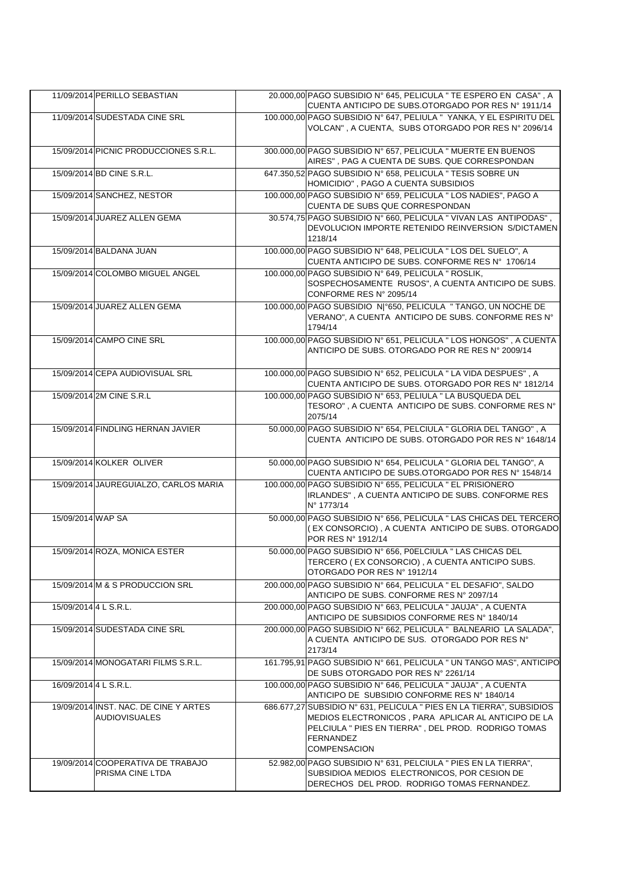|                       | 11/09/2014 PERILLO SEBASTIAN                                  | 20.000,00 PAGO SUBSIDIO Nº 645, PELICULA " TE ESPERO EN CASA", A<br>CUENTA ANTICIPO DE SUBS.OTORGADO POR RES Nº 1911/14                                                                                                |
|-----------------------|---------------------------------------------------------------|------------------------------------------------------------------------------------------------------------------------------------------------------------------------------------------------------------------------|
|                       | 11/09/2014 SUDESTADA CINE SRL                                 | 100.000,00 PAGO SUBSIDIO Nº 647, PELIULA " YANKA, Y EL ESPIRITU DEL<br>VOLCAN", A CUENTA, SUBS OTORGADO POR RES Nº 2096/14                                                                                             |
|                       | 15/09/2014 PICNIC PRODUCCIONES S.R.L.                         | 300.000,00 PAGO SUBSIDIO Nº 657, PELICULA " MUERTE EN BUENOS<br>AIRES", PAG A CUENTA DE SUBS. QUE CORRESPONDAN                                                                                                         |
|                       | 15/09/2014 BD CINE S.R.L.                                     | 647.350,52 PAGO SUBSIDIO Nº 658, PELICULA " TESIS SOBRE UN<br>HOMICIDIO", PAGO A CUENTA SUBSIDIOS                                                                                                                      |
|                       | 15/09/2014 SANCHEZ, NESTOR                                    | 100.000,00 PAGO SUBSIDIO N° 659, PELICULA " LOS NADIES", PAGO A<br>CUENTA DE SUBS QUE CORRESPONDAN                                                                                                                     |
|                       | 15/09/2014 JUAREZ ALLEN GEMA                                  | 30.574,75 PAGO SUBSIDIO Nº 660, PELICULA " VIVAN LAS ANTIPODAS",<br>DEVOLUCION IMPORTE RETENIDO REINVERSION S/DICTAMEN<br>1218/14                                                                                      |
|                       | 15/09/2014 BALDANA JUAN                                       | 100.000,00 PAGO SUBSIDIO Nº 648, PELICULA " LOS DEL SUELO", A<br>CUENTA ANTICIPO DE SUBS. CONFORME RES Nº 1706/14                                                                                                      |
|                       | 15/09/2014 COLOMBO MIGUEL ANGEL                               | 100.000,00 PAGO SUBSIDIO N° 649, PELICULA " ROSLIK,<br>SOSPECHOSAMENTE RUSOS", A CUENTA ANTICIPO DE SUBS.<br>CONFORME RES N° 2095/14                                                                                   |
|                       | 15/09/2014 JUAREZ ALLEN GEMA                                  | 100.000,00 PAGO SUBSIDIO N º650, PELICULA "TANGO, UN NOCHE DE<br>VERANO", A CUENTA ANTICIPO DE SUBS. CONFORME RES N°<br>1794/14                                                                                        |
|                       | 15/09/2014 CAMPO CINE SRL                                     | 100.000,00 PAGO SUBSIDIO N° 651, PELICULA " LOS HONGOS", A CUENTA<br>ANTICIPO DE SUBS. OTORGADO POR RE RES Nº 2009/14                                                                                                  |
|                       | 15/09/2014 CEPA AUDIOVISUAL SRL                               | 100.000,00 PAGO SUBSIDIO N° 652, PELICULA " LA VIDA DESPUES", A<br>CUENTA ANTICIPO DE SUBS. OTORGADO POR RES Nº 1812/14                                                                                                |
|                       | 15/09/2014 2M CINE S.R.L                                      | 100.000,00 PAGO SUBSIDIO Nº 653, PELIULA " LA BUSQUEDA DEL<br>TESORO", A CUENTA ANTICIPO DE SUBS. CONFORME RES N°<br>2075/14                                                                                           |
|                       | 15/09/2014 FINDLING HERNAN JAVIER                             | 50.000,00 PAGO SUBSIDIO Nº 654, PELCIULA " GLORIA DEL TANGO", A<br>CUENTA ANTICIPO DE SUBS. OTORGADO POR RES Nº 1648/14                                                                                                |
|                       | 15/09/2014 KOLKER OLIVER                                      | 50.000,00 PAGO SUBSIDIO Nº 654, PELICULA " GLORIA DEL TANGO", A<br>CUENTA ANTICIPO DE SUBS.OTORGADO POR RES Nº 1548/14                                                                                                 |
|                       | 15/09/2014 JAUREGUIALZO, CARLOS MARIA                         | 100.000,00 PAGO SUBSIDIO N° 655, PELICULA " EL PRISIONERO<br>IRLANDES", A CUENTA ANTICIPO DE SUBS. CONFORME RES<br>N° 1773/14                                                                                          |
| 15/09/2014 WAP SA     |                                                               | 50.000,00 PAGO SUBSIDIO Nº 656, PELICULA " LAS CHICAS DEL TERCERO<br>(EX CONSORCIO), A CUENTA ANTICIPO DE SUBS. OTORGADO<br>POR RES N° 1912/14                                                                         |
|                       | 15/09/2014 ROZA, MONICA ESTER                                 | 50.000,00 PAGO SUBSIDIO N° 656, P0ELCIULA " LAS CHICAS DEL<br>TERCERO ( EX CONSORCIO) , A CUENTA ANTICIPO SUBS.<br>OTORGADO POR RES Nº 1912/14                                                                         |
|                       | 15/09/2014 M & S PRODUCCION SRL                               | 200.000,00 PAGO SUBSIDIO N° 664, PELICULA " EL DESAFIO", SALDO<br>ANTICIPO DE SUBS. CONFORME RES Nº 2097/14                                                                                                            |
| 15/09/2014 4 L S.R.L. |                                                               | 200.000,00 PAGO SUBSIDIO N° 663, PELICULA " JAUJA", A CUENTA<br>ANTICIPO DE SUBSIDIOS CONFORME RES Nº 1840/14                                                                                                          |
|                       | 15/09/2014 SUDESTADA CINE SRL                                 | 200.000.00 PAGO SUBSIDIO Nº 662, PELICULA " BALNEARIO LA SALADA",<br>A CUENTA ANTICIPO DE SUS. OTORGADO POR RES Nº<br>2173/14                                                                                          |
|                       | 15/09/2014 MONOGATARI FILMS S.R.L.                            | 161.795,91 PAGO SUBSIDIO N° 661, PELICULA " UN TANGO MAS", ANTICIPO<br>DE SUBS OTORGADO POR RES Nº 2261/14                                                                                                             |
| 16/09/2014 4 L S.R.L. |                                                               | 100.000,00 PAGO SUBSIDIO N° 646, PELICULA " JAUJA", A CUENTA<br>ANTICIPO DE SUBSIDIO CONFORME RES Nº 1840/14                                                                                                           |
|                       | 19/09/2014 INST. NAC. DE CINE Y ARTES<br><b>AUDIOVISUALES</b> | 686.677,27 SUBSIDIO N° 631, PELICULA " PIES EN LA TIERRA", SUBSIDIOS<br>MEDIOS ELECTRONICOS, PARA APLICAR AL ANTICIPO DE LA<br>PELCIULA " PIES EN TIERRA", DEL PROD. RODRIGO TOMAS<br>FERNANDEZ<br><b>COMPENSACION</b> |
|                       | 19/09/2014 COOPERATIVA DE TRABAJO<br>PRISMA CINE LTDA         | 52.982,00 PAGO SUBSIDIO N° 631, PELCIULA " PIES EN LA TIERRA",<br>SUBSIDIOA MEDIOS ELECTRONICOS, POR CESION DE<br>DERECHOS DEL PROD. RODRIGO TOMAS FERNANDEZ.                                                          |